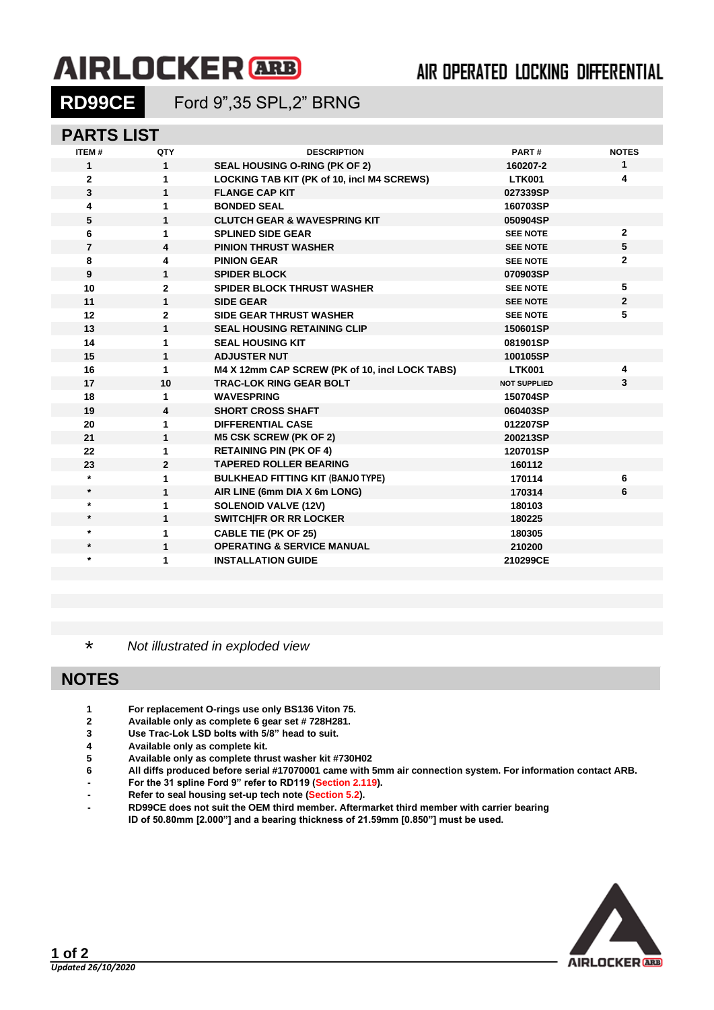# **AIRLOCKER** ARB

## AIR OPERATED LOCKING DIFFERENTIAL

**RD99CE** Ford 9",35 SPL,2" BRNG

#### **PARTS LIST**

| <b>ITEM#</b>   | QTY            | <b>DESCRIPTION</b>                             | PART#               | <b>NOTES</b>   |
|----------------|----------------|------------------------------------------------|---------------------|----------------|
| $\mathbf 1$    | $\mathbf{1}$   | <b>SEAL HOUSING O-RING (PK OF 2)</b>           | 160207-2            | $\mathbf{1}$   |
| $\overline{2}$ | 1              | LOCKING TAB KIT (PK of 10, incl M4 SCREWS)     | <b>LTK001</b>       | 4              |
| $\mathbf{3}$   | $\mathbf{1}$   | <b>FLANGE CAP KIT</b>                          | 027339SP            |                |
| 4              | 1              | <b>BONDED SEAL</b>                             | 160703SP            |                |
| 5              | 1              | <b>CLUTCH GEAR &amp; WAVESPRING KIT</b>        | 050904SP            |                |
| 6              | 1              | <b>SPLINED SIDE GEAR</b>                       | <b>SEE NOTE</b>     | $\overline{2}$ |
| $\overline{7}$ | 4              | <b>PINION THRUST WASHER</b>                    | <b>SEE NOTE</b>     | 5              |
| 8              | 4              | <b>PINION GEAR</b>                             | <b>SEE NOTE</b>     | $\mathbf{2}$   |
| 9              | $\mathbf{1}$   | <b>SPIDER BLOCK</b>                            | 070903SP            |                |
| 10             | $\mathbf{2}$   | <b>SPIDER BLOCK THRUST WASHER</b>              | <b>SEE NOTE</b>     | 5              |
| 11             | $\mathbf{1}$   | <b>SIDE GEAR</b>                               | <b>SEE NOTE</b>     | $\overline{2}$ |
| 12             | $\overline{2}$ | <b>SIDE GEAR THRUST WASHER</b>                 | <b>SEE NOTE</b>     | 5              |
| 13             | 1              | <b>SEAL HOUSING RETAINING CLIP</b>             | 150601SP            |                |
| 14             | 1              | <b>SEAL HOUSING KIT</b>                        | 081901SP            |                |
| 15             | 1              | <b>ADJUSTER NUT</b>                            | 100105SP            |                |
| 16             | 1              | M4 X 12mm CAP SCREW (PK of 10, incl LOCK TABS) | <b>LTK001</b>       | 4              |
| 17             | 10             | <b>TRAC-LOK RING GEAR BOLT</b>                 | <b>NOT SUPPLIED</b> | 3              |
| 18             | 1              | <b>WAVESPRING</b>                              | 150704SP            |                |
| 19             | 4              | <b>SHORT CROSS SHAFT</b>                       | 060403SP            |                |
| 20             | 1              | <b>DIFFERENTIAL CASE</b>                       | 012207SP            |                |
| 21             | 1              | <b>M5 CSK SCREW (PK OF 2)</b>                  | 200213SP            |                |
| 22             | 1              | <b>RETAINING PIN (PK OF 4)</b>                 | 120701SP            |                |
| 23             | $\overline{2}$ | <b>TAPERED ROLLER BEARING</b>                  | 160112              |                |
| $\star$        | 1              | <b>BULKHEAD FITTING KIT (BANJO TYPE)</b>       | 170114              | 6              |
| $\star$        | 1              | AIR LINE (6mm DIA X 6m LONG)                   | 170314              | 6              |
| $\star$        | 1              | <b>SOLENOID VALVE (12V)</b>                    | 180103              |                |
| $\star$        | $\mathbf{1}$   | <b>SWITCHIFR OR RR LOCKER</b>                  | 180225              |                |
| $\star$        | 1              | <b>CABLE TIE (PK OF 25)</b>                    | 180305              |                |
| $\star$        | 1              | <b>OPERATING &amp; SERVICE MANUAL</b>          | 210200              |                |
| $\star$        | 1              | <b>INSTALLATION GUIDE</b>                      | 210299CE            |                |
|                |                |                                                |                     |                |

\* *Not illustrated in exploded view*

#### **NOTES**

- **1 For replacement O-rings use only BS136 Viton 75.**
- **2 Available only as complete 6 gear set # 728H281.**
- **3 Use Trac-Lok LSD bolts with 5/8" head to suit.**
- **4 Available only as complete kit.**
- **5 Available only as complete thrust washer kit #730H02**
- **6 All diffs produced before serial #17070001 came with 5mm air connection system. For information contact ARB.**
- **- For the 31 spline Ford 9" refer to RD119 [\(Section 2.119\)](2-RD119.pdf).**
- **- Refer to seal housing set-up tech note [\(Section 5.2\)](5-02.PDF).**
- **- RD99CE does not suit the OEM third member. Aftermarket third member with carrier bearing ID of 50.80mm [2.000"] and a bearing thickness of 21.59mm [0.850"] must be used.**